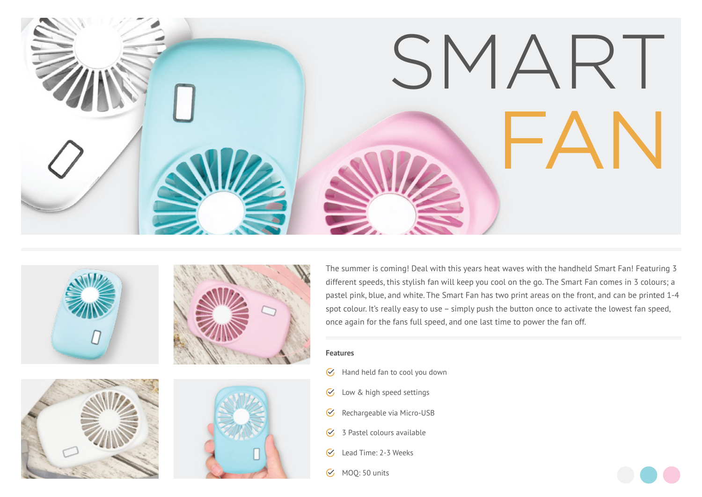









The summer is coming! Deal with this years heat waves with the handheld Smart Fan! Featuring 3 different speeds, this stylish fan will keep you cool on the go. The Smart Fan comes in 3 colours; a pastel pink, blue, and white. The Smart Fan has two print areas on the front, and can be printed 1-4 spot colour. It's really easy to use – simply push the button once to activate the lowest fan speed, once again for the fans full speed, and one last time to power the fan off.

## **Features**

- $\bullet$  Hand held fan to cool you down
- Low & high speed settings  $\infty$
- Rechargeable via Micro-USB  $\mathcal{C}$
- $\mathcal{G}$  3 Pastel colours available
- Lead Time: 2-3 Weeks  $\mathcal{C}_{I}$
- $\sim$  MOO: 50 units